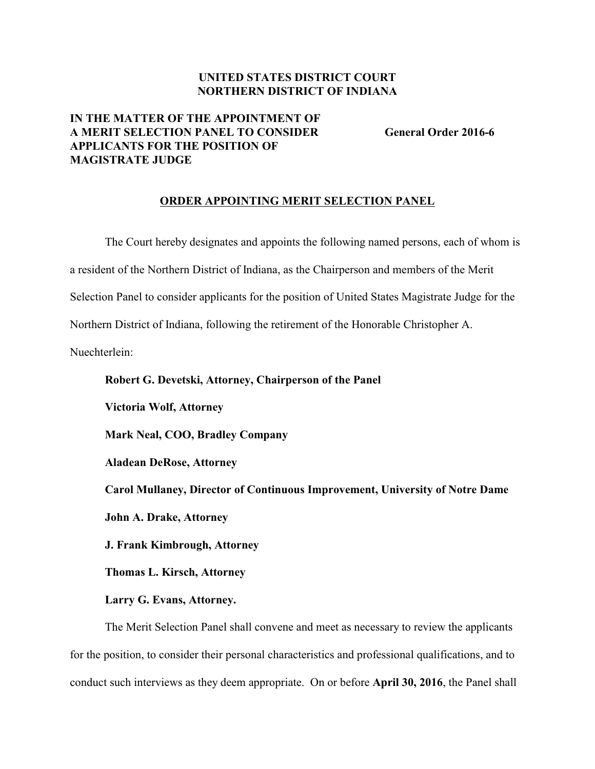### **UNITED STATES DISTRICT COURT NORTHERN DISTRICT OF INDIANA**

# **IN THE MATTER OF THE APPOINTMENT OF A MERIT SELECTION PANEL TO CONSIDER General Order 2016-6 APPLICANTS FOR THE POSITION OF MAGISTRATE JUDGE**

### **ORDER APPOINTING MERIT SELECTION PANEL**

The Court hereby designates and appoints the following named persons, each of whom is a resident of the Northern District of Indiana, as the Chairperson and members of the Merit Selection Panel to consider applicants for the position of United States Magistrate Judge for the Northern District of Indiana, following the retirement of the Honorable Christopher A. Nuechterlein:

**Victoria Wolf, Attorney Mark Neal, COO, Bradley Company Aladean DeRose, Attorney**

**Robert G. Devetski, Attorney, Chairperson of the Panel**

**Carol Mullaney, Director of Continuous Improvement, University of Notre Dame John A. Drake, Attorney**

**J. Frank Kimbrough, Attorney**

**Thomas L. Kirsch, Attorney**

#### **Larry G. Evans, Attorney.**

The Merit Selection Panel shall convene and meet as necessary to review the applicants for the position, to consider their personal characteristics and professional qualifications, and to conduct such interviews as they deem appropriate. On or before **April 30, 2016**, the Panel shall